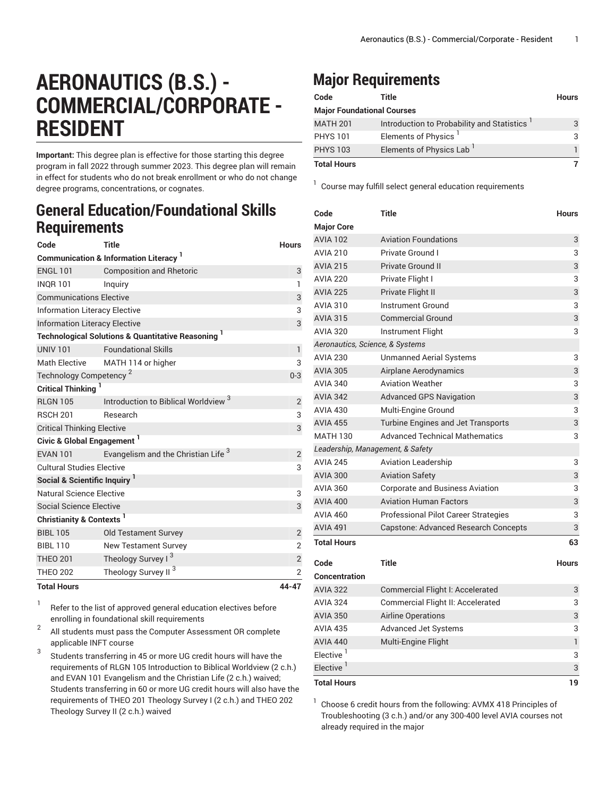## **AERONAUTICS (B.S.) - COMMERCIAL/CORPORATE - RESIDENT**

**Important:** This degree plan is effective for those starting this degree program in fall 2022 through summer 2023. This degree plan will remain in effect for students who do not break enrollment or who do not change degree programs, concentrations, or cognates.

## **General Education/Foundational Skills Requirements**

| Code                                            | <b>Title</b>                                                  | <b>Hours</b>   |  |  |
|-------------------------------------------------|---------------------------------------------------------------|----------------|--|--|
| <b>Communication &amp; Information Literacy</b> |                                                               |                |  |  |
| <b>ENGL 101</b>                                 | <b>Composition and Rhetoric</b>                               | 3              |  |  |
| <b>INQR101</b>                                  | Inguiry                                                       | $\mathbf{1}$   |  |  |
| <b>Communications Elective</b>                  | 3                                                             |                |  |  |
| <b>Information Literacy Elective</b>            | 3                                                             |                |  |  |
| <b>Information Literacy Elective</b>            | 3                                                             |                |  |  |
|                                                 | <b>Technological Solutions &amp; Quantitative Reasoning</b> 1 |                |  |  |
| <b>UNIV 101</b>                                 | <b>Foundational Skills</b>                                    | $\mathbf{1}$   |  |  |
| <b>Math Elective</b>                            | MATH 114 or higher                                            | 3              |  |  |
| Technology Competency <sup>2</sup>              | $0 - 3$                                                       |                |  |  |
| <b>Critical Thinking</b>                        |                                                               |                |  |  |
| <b>RLGN 105</b>                                 | Introduction to Biblical Worldview <sup>3</sup>               | $\overline{2}$ |  |  |
| <b>RSCH 201</b>                                 | Research                                                      | 3              |  |  |
| <b>Critical Thinking Elective</b>               | 3                                                             |                |  |  |
| Civic & Global Engagement <sup>1</sup>          |                                                               |                |  |  |
| <b>FVAN 101</b>                                 | Evangelism and the Christian Life <sup>3</sup>                | 2              |  |  |
| <b>Cultural Studies Elective</b>                |                                                               |                |  |  |
| Social & Scientific Inquiry <sup>1</sup>        |                                                               |                |  |  |
| <b>Natural Science Elective</b>                 |                                                               | 3              |  |  |
| <b>Social Science Elective</b>                  |                                                               | 3              |  |  |
| Christianity & Contexts <sup>1</sup>            |                                                               |                |  |  |
| <b>BIBI 105</b>                                 | <b>Old Testament Survey</b>                                   | $\overline{2}$ |  |  |
| <b>BIBL 110</b>                                 | <b>New Testament Survey</b>                                   | $\overline{2}$ |  |  |
| <b>THEO 201</b>                                 | Theology Survey I <sup>3</sup>                                | $\mathbf{2}$   |  |  |
| <b>THEO 202</b>                                 | Theology Survey II <sup>3</sup>                               | $\overline{2}$ |  |  |
| <b>Total Hours</b>                              |                                                               | 44-47          |  |  |

1 Refer to the list of approved general [education](https://www.liberty.edu/gened/) electives before enrolling in foundational skill requirements

2 All students must pass the [Computer Assessment](https://www.liberty.edu/computerassessment/) OR complete applicable INFT course

3 Students transferring in 45 or more UG credit hours will have the requirements of RLGN 105 Introduction to Biblical Worldview (2 c.h.) and EVAN 101 Evangelism and the Christian Life (2 c.h.) waived; Students transferring in 60 or more UG credit hours will also have the requirements of THEO 201 Theology Survey I (2 c.h.) and THEO 202 Theology Survey II (2 c.h.) waived

## **Major Requirements**

| Code                              | Title                                      | <b>Hours</b> |  |
|-----------------------------------|--------------------------------------------|--------------|--|
| <b>Major Foundational Courses</b> |                                            |              |  |
| <b>MATH 201</b>                   | Introduction to Probability and Statistics | 3            |  |
| <b>PHYS 101</b>                   | Elements of Physics <sup>1</sup>           | 3            |  |
| <b>PHYS 103</b>                   | Elements of Physics Lab                    |              |  |
| <b>Total Hours</b>                |                                            |              |  |

<sup>1</sup> Course may fulfill select general education [requirements](http://www.liberty.edu/academics/generalstudies/?PID=37563)

| Code                             | <b>Title</b>                           | <b>Hours</b> |  |  |
|----------------------------------|----------------------------------------|--------------|--|--|
| <b>Major Core</b>                |                                        |              |  |  |
| <b>AVIA 102</b>                  | <b>Aviation Foundations</b>            | 3            |  |  |
| <b>AVIA 210</b>                  | Private Ground I                       | 3            |  |  |
| <b>AVIA 215</b>                  | <b>Private Ground II</b>               | 3            |  |  |
| <b>AVIA 220</b>                  | Private Flight I                       | 3            |  |  |
| <b>AVIA 225</b>                  | Private Flight II                      | 3            |  |  |
| <b>AVIA 310</b>                  | <b>Instrument Ground</b>               | 3            |  |  |
| <b>AVIA 315</b>                  | <b>Commercial Ground</b>               | 3            |  |  |
| <b>AVIA 320</b>                  | Instrument Flight                      | 3            |  |  |
| Aeronautics, Science, & Systems  |                                        |              |  |  |
| <b>AVIA 230</b>                  | <b>Unmanned Aerial Systems</b>         | 3            |  |  |
| <b>AVIA 305</b>                  | Airplane Aerodynamics                  | 3            |  |  |
| <b>AVIA 340</b>                  | <b>Aviation Weather</b>                | 3            |  |  |
| <b>AVIA 342</b>                  | <b>Advanced GPS Navigation</b>         | 3            |  |  |
| <b>AVIA 430</b>                  | Multi-Engine Ground                    | 3            |  |  |
| <b>AVIA 455</b>                  | Turbine Engines and Jet Transports     | 3            |  |  |
| <b>MATH 130</b>                  | <b>Advanced Technical Mathematics</b>  | 3            |  |  |
| Leadership, Management, & Safety |                                        |              |  |  |
| <b>AVIA 245</b>                  | <b>Aviation Leadership</b>             | 3            |  |  |
| <b>AVIA 300</b>                  | <b>Aviation Safety</b>                 | 3            |  |  |
| <b>AVIA 360</b>                  | <b>Corporate and Business Aviation</b> | 3            |  |  |
| <b>AVIA 400</b>                  | <b>Aviation Human Factors</b>          | 3            |  |  |
| <b>AVIA 460</b>                  | Professional Pilot Career Strategies   | 3            |  |  |
| <b>AVIA 491</b>                  | Capstone: Advanced Research Concepts   | 3            |  |  |
| <b>Total Hours</b>               |                                        | 63           |  |  |
| Code                             | Title                                  | <b>Hours</b> |  |  |
| Concentration                    |                                        |              |  |  |
| <b>AVIA 322</b>                  | Commercial Flight I: Accelerated       | 3            |  |  |
| <b>AVIA 324</b>                  | Commercial Flight II: Accelerated      | 3            |  |  |
| <b>AVIA 350</b>                  | Airline Operations                     | 3            |  |  |
| <b>AVIA 435</b>                  | <b>Advanced Jet Systems</b>            | 3            |  |  |
| <b>AVIA 440</b>                  | Multi-Engine Flight                    | 1            |  |  |
| Elective <sup>1</sup>            |                                        | 3            |  |  |
| Elective $1$                     |                                        | 3            |  |  |
| Total Hours                      |                                        | 19           |  |  |

1 Choose 6 credit hours from the following: AVMX 418 Principles of Troubleshooting (3 c.h.) and/or any 300-400 level AVIA courses not already required in the major